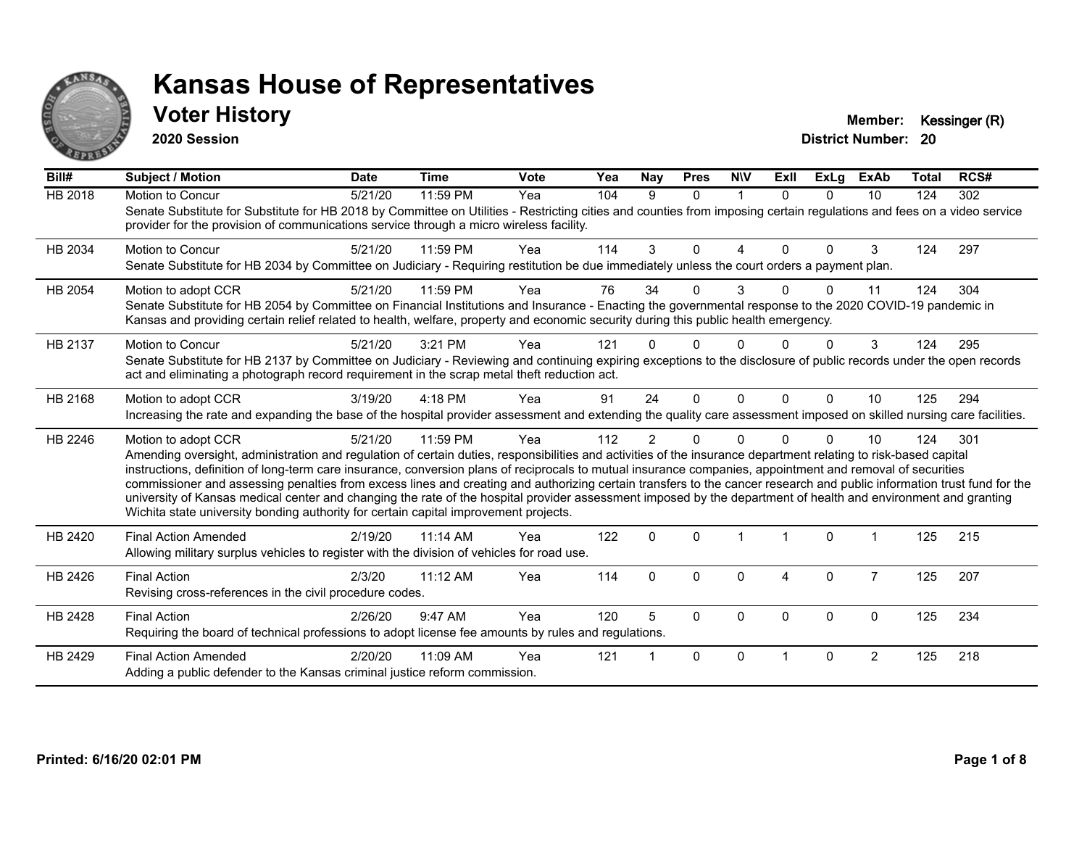

### **Voter History Member: Kessinger (R)**

**2020 Session**

| Bill#          | <b>Subject / Motion</b>                                                                                                                                                                                                                                                                                                                                                                                                                                                                                                                                                                                                                                                                                                                                                                  | <b>Date</b> | <b>Time</b> | Vote | Yea | Nay      | <b>Pres</b> | <b>NIV</b>   | ExII                   | <b>ExLg</b> | <b>ExAb</b>    | <b>Total</b> | RCS# |
|----------------|------------------------------------------------------------------------------------------------------------------------------------------------------------------------------------------------------------------------------------------------------------------------------------------------------------------------------------------------------------------------------------------------------------------------------------------------------------------------------------------------------------------------------------------------------------------------------------------------------------------------------------------------------------------------------------------------------------------------------------------------------------------------------------------|-------------|-------------|------|-----|----------|-------------|--------------|------------------------|-------------|----------------|--------------|------|
| <b>HB 2018</b> | Motion to Concur<br>Senate Substitute for Substitute for HB 2018 by Committee on Utilities - Restricting cities and counties from imposing certain regulations and fees on a video service<br>provider for the provision of communications service through a micro wireless facility.                                                                                                                                                                                                                                                                                                                                                                                                                                                                                                    | 5/21/20     | 11:59 PM    | Yea  | 104 | 9        | $\Omega$    | $\mathbf{1}$ | $\Omega$               | $\Omega$    | 10             | 124          | 302  |
| HB 2034        | <b>Motion to Concur</b><br>Senate Substitute for HB 2034 by Committee on Judiciary - Requiring restitution be due immediately unless the court orders a payment plan.                                                                                                                                                                                                                                                                                                                                                                                                                                                                                                                                                                                                                    | 5/21/20     | 11:59 PM    | Yea  | 114 | 3        | $\Omega$    | 4            | $\Omega$               | $\Omega$    | 3              | 124          | 297  |
| HB 2054        | Motion to adopt CCR<br>Senate Substitute for HB 2054 by Committee on Financial Institutions and Insurance - Enacting the governmental response to the 2020 COVID-19 pandemic in<br>Kansas and providing certain relief related to health, welfare, property and economic security during this public health emergency.                                                                                                                                                                                                                                                                                                                                                                                                                                                                   | 5/21/20     | 11:59 PM    | Yea  | 76  | 34       | U           | 3            |                        | $\Omega$    | 11             | 124          | 304  |
| HB 2137        | Motion to Concur<br>Senate Substitute for HB 2137 by Committee on Judiciary - Reviewing and continuing expiring exceptions to the disclosure of public records under the open records<br>act and eliminating a photograph record requirement in the scrap metal theft reduction act.                                                                                                                                                                                                                                                                                                                                                                                                                                                                                                     | 5/21/20     | 3:21 PM     | Yea  | 121 |          |             |              |                        |             | 3              | 124          | 295  |
| HB 2168        | Motion to adopt CCR<br>Increasing the rate and expanding the base of the hospital provider assessment and extending the quality care assessment imposed on skilled nursing care facilities.                                                                                                                                                                                                                                                                                                                                                                                                                                                                                                                                                                                              | 3/19/20     | 4:18 PM     | Yea  | 91  | 24       | $\Omega$    | $\mathbf 0$  | $\Omega$               | $\Omega$    | 10             | 125          | 294  |
| HB 2246        | Motion to adopt CCR<br>Amending oversight, administration and regulation of certain duties, responsibilities and activities of the insurance department relating to risk-based capital<br>instructions, definition of long-term care insurance, conversion plans of reciprocals to mutual insurance companies, appointment and removal of securities<br>commissioner and assessing penalties from excess lines and creating and authorizing certain transfers to the cancer research and public information trust fund for the<br>university of Kansas medical center and changing the rate of the hospital provider assessment imposed by the department of health and environment and granting<br>Wichita state university bonding authority for certain capital improvement projects. | 5/21/20     | 11:59 PM    | Yea  | 112 | 2        | 0           | $\Omega$     |                        | $\Omega$    | 10             | 124          | 301  |
| HB 2420        | <b>Final Action Amended</b><br>Allowing military surplus vehicles to register with the division of vehicles for road use.                                                                                                                                                                                                                                                                                                                                                                                                                                                                                                                                                                                                                                                                | 2/19/20     | 11:14 AM    | Yea  | 122 | $\Omega$ | $\Omega$    |              |                        | $\Omega$    |                | 125          | 215  |
| HB 2426        | <b>Final Action</b><br>Revising cross-references in the civil procedure codes.                                                                                                                                                                                                                                                                                                                                                                                                                                                                                                                                                                                                                                                                                                           | 2/3/20      | 11:12 AM    | Yea  | 114 | $\Omega$ | $\Omega$    | $\Omega$     | $\boldsymbol{\Lambda}$ | $\mathbf 0$ | $\overline{7}$ | 125          | 207  |
| HB 2428        | <b>Final Action</b><br>Requiring the board of technical professions to adopt license fee amounts by rules and regulations.                                                                                                                                                                                                                                                                                                                                                                                                                                                                                                                                                                                                                                                               | 2/26/20     | 9:47 AM     | Yea  | 120 | 5        | $\Omega$    | $\Omega$     | $\Omega$               | $\Omega$    | $\Omega$       | 125          | 234  |
| HB 2429        | <b>Final Action Amended</b><br>Adding a public defender to the Kansas criminal justice reform commission.                                                                                                                                                                                                                                                                                                                                                                                                                                                                                                                                                                                                                                                                                | 2/20/20     | 11:09 AM    | Yea  | 121 |          | $\Omega$    | $\Omega$     |                        | $\Omega$    | $\overline{2}$ | 125          | 218  |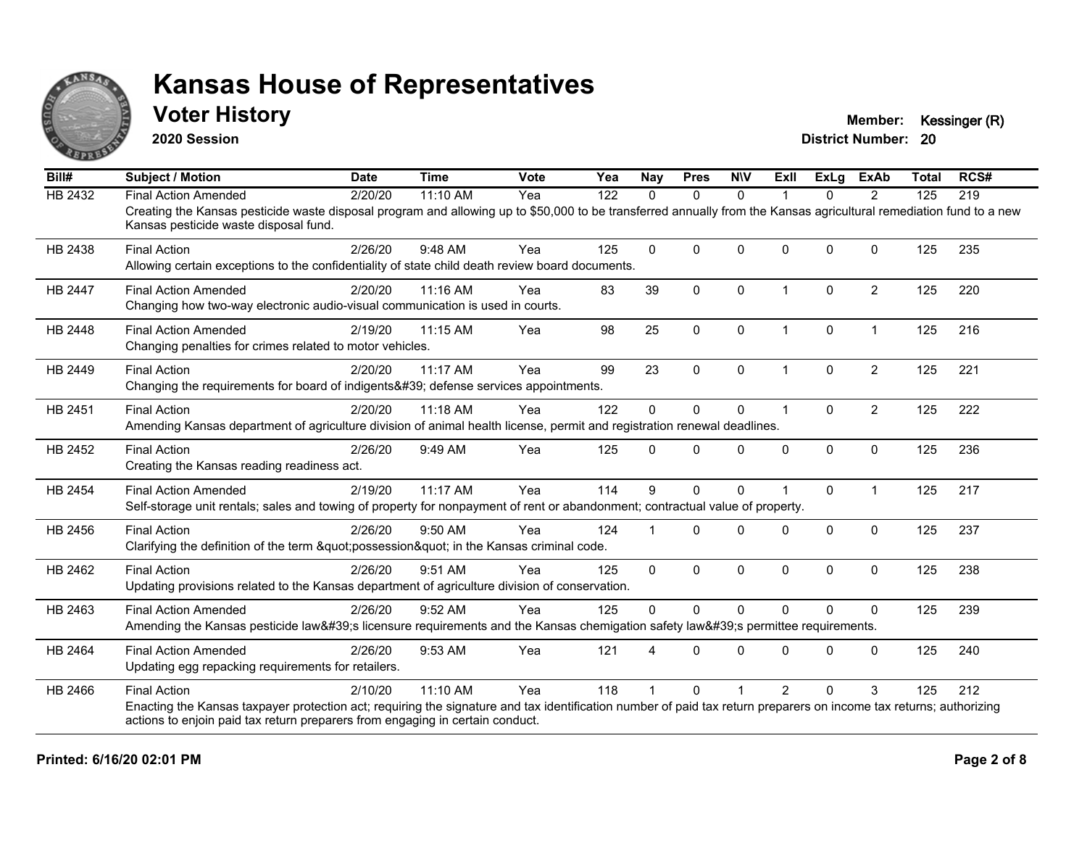

**2020 Session**

**Voter History Member: Kessinger (R)** 

| Bill#          | <b>Subject / Motion</b>                                                                                                                                                                                     | <b>Date</b> | <b>Time</b> | <b>Vote</b> | Yea | <b>Nay</b>   | <b>Pres</b>  | <b>NIV</b>   | ExII                 | ExLg     | <b>ExAb</b>    | <b>Total</b> | RCS# |
|----------------|-------------------------------------------------------------------------------------------------------------------------------------------------------------------------------------------------------------|-------------|-------------|-------------|-----|--------------|--------------|--------------|----------------------|----------|----------------|--------------|------|
| <b>HB 2432</b> | <b>Final Action Amended</b>                                                                                                                                                                                 | 2/20/20     | 11:10 AM    | Yea         | 122 | $\Omega$     | $\mathbf{0}$ | $\Omega$     |                      | $\Omega$ | 2              | 125          | 219  |
|                | Creating the Kansas pesticide waste disposal program and allowing up to \$50,000 to be transferred annually from the Kansas agricultural remediation fund to a new<br>Kansas pesticide waste disposal fund. |             |             |             |     |              |              |              |                      |          |                |              |      |
| HB 2438        | <b>Final Action</b>                                                                                                                                                                                         | 2/26/20     | 9:48 AM     | Yea         | 125 | $\Omega$     | $\mathbf{0}$ | $\Omega$     | $\Omega$             | $\Omega$ | $\Omega$       | 125          | 235  |
|                | Allowing certain exceptions to the confidentiality of state child death review board documents.                                                                                                             |             |             |             |     |              |              |              |                      |          |                |              |      |
| <b>HB 2447</b> | <b>Final Action Amended</b>                                                                                                                                                                                 | 2/20/20     | 11:16 AM    | Yea         | 83  | 39           | $\mathbf{0}$ | $\Omega$     | $\blacktriangleleft$ | $\Omega$ | $\overline{2}$ | 125          | 220  |
|                | Changing how two-way electronic audio-visual communication is used in courts.                                                                                                                               |             |             |             |     |              |              |              |                      |          |                |              |      |
| HB 2448        | <b>Final Action Amended</b>                                                                                                                                                                                 | 2/19/20     | 11:15 AM    | Yea         | 98  | 25           | $\mathbf{0}$ | $\Omega$     | $\mathbf 1$          | $\Omega$ | $\mathbf 1$    | 125          | 216  |
|                | Changing penalties for crimes related to motor vehicles.                                                                                                                                                    |             |             |             |     |              |              |              |                      |          |                |              |      |
| HB 2449        | <b>Final Action</b>                                                                                                                                                                                         | 2/20/20     | 11:17 AM    | Yea         | 99  | 23           | $\mathbf 0$  | $\Omega$     | 1                    | $\Omega$ | $\overline{2}$ | 125          | 221  |
|                | Changing the requirements for board of indigents' defense services appointments.                                                                                                                            |             |             |             |     |              |              |              |                      |          |                |              |      |
| HB 2451        | <b>Final Action</b>                                                                                                                                                                                         | 2/20/20     | 11:18 AM    | Yea         | 122 | $\Omega$     | $\mathbf{0}$ | $\Omega$     | 1                    | $\Omega$ | $\overline{2}$ | 125          | 222  |
|                | Amending Kansas department of agriculture division of animal health license, permit and registration renewal deadlines.                                                                                     |             |             |             |     |              |              |              |                      |          |                |              |      |
| HB 2452        | <b>Final Action</b>                                                                                                                                                                                         | 2/26/20     | 9:49 AM     | Yea         | 125 | $\Omega$     | $\Omega$     | $\Omega$     | $\Omega$             | 0        | $\mathbf 0$    | 125          | 236  |
|                | Creating the Kansas reading readiness act.                                                                                                                                                                  |             |             |             |     |              |              |              |                      |          |                |              |      |
| HB 2454        | <b>Final Action Amended</b>                                                                                                                                                                                 | 2/19/20     | 11:17 AM    | Yea         | 114 | 9            | $\mathbf{0}$ | $\Omega$     |                      | $\Omega$ | $\mathbf 1$    | 125          | 217  |
|                | Self-storage unit rentals; sales and towing of property for nonpayment of rent or abandonment; contractual value of property.                                                                               |             |             |             |     |              |              |              |                      |          |                |              |      |
| HB 2456        | <b>Final Action</b>                                                                                                                                                                                         | 2/26/20     | 9:50 AM     | Yea         | 124 |              | $\Omega$     | $\Omega$     | $\Omega$             | $\Omega$ | $\mathbf 0$    | 125          | 237  |
|                | Clarifying the definition of the term "possession" in the Kansas criminal code.                                                                                                                             |             |             |             |     |              |              |              |                      |          |                |              |      |
| HB 2462        | <b>Final Action</b>                                                                                                                                                                                         | 2/26/20     | 9:51 AM     | Yea         | 125 | $\mathbf{0}$ | $\mathbf{0}$ | $\Omega$     | $\mathbf{0}$         | $\Omega$ | $\Omega$       | 125          | 238  |
|                | Updating provisions related to the Kansas department of agriculture division of conservation.                                                                                                               |             |             |             |     |              |              |              |                      |          |                |              |      |
| HB 2463        | <b>Final Action Amended</b>                                                                                                                                                                                 | 2/26/20     | 9:52 AM     | Yea         | 125 | $\mathbf 0$  | $\Omega$     | $\mathbf{0}$ | $\Omega$             | $\Omega$ | $\mathbf{0}$   | 125          | 239  |
|                | Amending the Kansas pesticide law's licensure requirements and the Kansas chemigation safety law's permittee requirements.                                                                                  |             |             |             |     |              |              |              |                      |          |                |              |      |
| HB 2464        | <b>Final Action Amended</b>                                                                                                                                                                                 | 2/26/20     | 9:53 AM     | Yea         | 121 |              | $\Omega$     | $\Omega$     | $\Omega$             | $\Omega$ | $\Omega$       | 125          | 240  |
|                | Updating egg repacking requirements for retailers.                                                                                                                                                          |             |             |             |     |              |              |              |                      |          |                |              |      |
| HB 2466        | <b>Final Action</b>                                                                                                                                                                                         | 2/10/20     | 11:10 AM    | Yea         | 118 |              | $\Omega$     |              | $\mathcal{P}$        | U        | 3              | 125          | 212  |
|                | Enacting the Kansas taxpayer protection act; requiring the signature and tax identification number of paid tax return preparers on income tax returns; authorizing                                          |             |             |             |     |              |              |              |                      |          |                |              |      |
|                | actions to enjoin paid tax return preparers from engaging in certain conduct.                                                                                                                               |             |             |             |     |              |              |              |                      |          |                |              |      |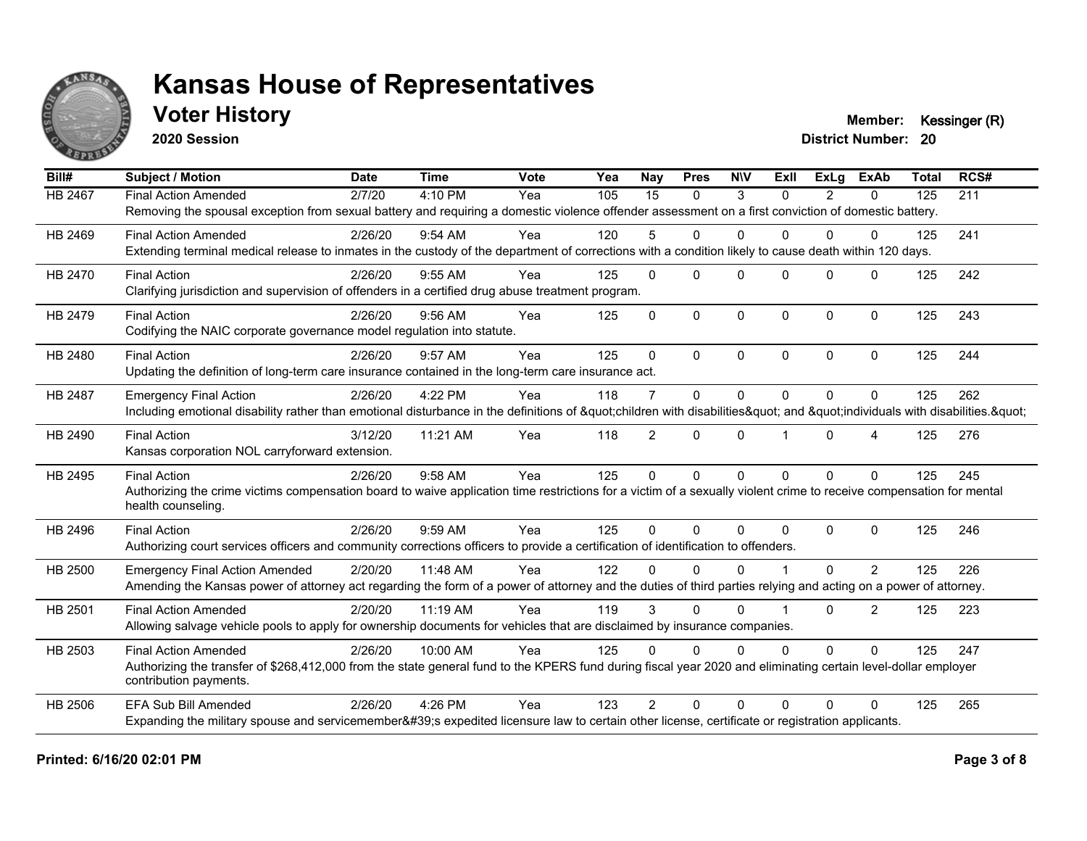

**2020 Session**

**Voter History Member: Kessinger (R)** 

| Bill#   | <b>Subject / Motion</b>                                                                                                                                             | <b>Date</b> | <b>Time</b> | Vote | Yea | Nay            | <b>Pres</b>  | <b>NIV</b>   | ExII           | ExLa           | <b>ExAb</b>    | <b>Total</b> | RCS# |
|---------|---------------------------------------------------------------------------------------------------------------------------------------------------------------------|-------------|-------------|------|-----|----------------|--------------|--------------|----------------|----------------|----------------|--------------|------|
| HB 2467 | <b>Final Action Amended</b>                                                                                                                                         | 2/7/20      | 4:10 PM     | Yea  | 105 | 15             | $\mathbf{0}$ | 3            | $\Omega$       | $\overline{2}$ | 0              | 125          | 211  |
|         | Removing the spousal exception from sexual battery and requiring a domestic violence offender assessment on a first conviction of domestic battery.                 |             |             |      |     |                |              |              |                |                |                |              |      |
| HB 2469 | <b>Final Action Amended</b>                                                                                                                                         | 2/26/20     | 9:54 AM     | Yea  | 120 | 5              | $\Omega$     | $\mathbf{0}$ | 0              | 0              | 0              | 125          | 241  |
|         | Extending terminal medical release to inmates in the custody of the department of corrections with a condition likely to cause death within 120 days.               |             |             |      |     |                |              |              |                |                |                |              |      |
| HB 2470 | <b>Final Action</b>                                                                                                                                                 | 2/26/20     | 9:55 AM     | Yea  | 125 | $\Omega$       | $\Omega$     | $\Omega$     | $\Omega$       | $\Omega$       | $\Omega$       | 125          | 242  |
|         | Clarifying jurisdiction and supervision of offenders in a certified drug abuse treatment program.                                                                   |             |             |      |     |                |              |              |                |                |                |              |      |
| HB 2479 | <b>Final Action</b>                                                                                                                                                 | 2/26/20     | $9:56$ AM   | Yea  | 125 | $\Omega$       | $\Omega$     | $\mathbf 0$  | $\Omega$       | $\Omega$       | $\mathbf{0}$   | 125          | 243  |
|         | Codifying the NAIC corporate governance model regulation into statute.                                                                                              |             |             |      |     |                |              |              |                |                |                |              |      |
| HB 2480 | <b>Final Action</b>                                                                                                                                                 | 2/26/20     | 9:57 AM     | Yea  | 125 | $\Omega$       | $\Omega$     | $\Omega$     | $\Omega$       | $\Omega$       | $\Omega$       | 125          | 244  |
|         | Updating the definition of long-term care insurance contained in the long-term care insurance act.                                                                  |             |             |      |     |                |              |              |                |                |                |              |      |
| HB 2487 | <b>Emergency Final Action</b>                                                                                                                                       | 2/26/20     | 4:22 PM     | Yea  | 118 | $\overline{7}$ | $\Omega$     | $\mathbf{0}$ | $\Omega$       | $\Omega$       | $\Omega$       | 125          | 262  |
|         | Including emotional disability rather than emotional disturbance in the definitions of "children with disabilities" and "individuals with disabilities. "           |             |             |      |     |                |              |              |                |                |                |              |      |
| HB 2490 | <b>Final Action</b>                                                                                                                                                 | 3/12/20     | 11:21 AM    | Yea  | 118 | $\overline{2}$ | $\mathbf{0}$ | $\Omega$     |                | $\Omega$       | 4              | 125          | 276  |
|         | Kansas corporation NOL carryforward extension.                                                                                                                      |             |             |      |     |                |              |              |                |                |                |              |      |
| HB 2495 | <b>Final Action</b>                                                                                                                                                 | 2/26/20     | 9:58 AM     | Yea  | 125 | $\Omega$       | $\Omega$     | $\mathbf{0}$ | $\Omega$       | $\Omega$       | $\Omega$       | 125          | 245  |
|         | Authorizing the crime victims compensation board to waive application time restrictions for a victim of a sexually violent crime to receive compensation for mental |             |             |      |     |                |              |              |                |                |                |              |      |
|         | health counseling.                                                                                                                                                  |             |             |      |     |                |              |              |                |                |                |              |      |
| HB 2496 | <b>Final Action</b>                                                                                                                                                 | 2/26/20     | 9:59 AM     | Yea  | 125 | $\Omega$       | $\Omega$     | $\Omega$     | $\Omega$       | $\Omega$       | $\Omega$       | 125          | 246  |
|         | Authorizing court services officers and community corrections officers to provide a certification of identification to offenders.                                   |             |             |      |     |                |              |              |                |                |                |              |      |
| HB 2500 | <b>Emergency Final Action Amended</b>                                                                                                                               | 2/20/20     | 11:48 AM    | Yea  | 122 | U              | $\Omega$     | $\Omega$     |                | $\Omega$       | 2              | 125          | 226  |
|         | Amending the Kansas power of attorney act regarding the form of a power of attorney and the duties of third parties relying and acting on a power of attorney.      |             |             |      |     |                |              |              |                |                |                |              |      |
| HB 2501 | <b>Final Action Amended</b>                                                                                                                                         | 2/20/20     | 11:19 AM    | Yea  | 119 | 3              | $\Omega$     | $\Omega$     | $\overline{1}$ | $\Omega$       | $\overline{2}$ | 125          | 223  |
|         | Allowing salvage vehicle pools to apply for ownership documents for vehicles that are disclaimed by insurance companies.                                            |             |             |      |     |                |              |              |                |                |                |              |      |
| HB 2503 | <b>Final Action Amended</b>                                                                                                                                         | 2/26/20     | 10:00 AM    | Yea  | 125 | $\Omega$       | $\Omega$     | $\Omega$     | $\Omega$       | $\Omega$       | $\Omega$       | 125          | 247  |
|         | Authorizing the transfer of \$268,412,000 from the state general fund to the KPERS fund during fiscal year 2020 and eliminating certain level-dollar employer       |             |             |      |     |                |              |              |                |                |                |              |      |
|         | contribution payments.                                                                                                                                              |             |             |      |     |                |              |              |                |                |                |              |      |
| HB 2506 | <b>EFA Sub Bill Amended</b>                                                                                                                                         | 2/26/20     | 4:26 PM     | Yea  | 123 | $\mathcal{P}$  | $\Omega$     | $\Omega$     | 0              | 0              | $\Omega$       | 125          | 265  |
|         | Expanding the military spouse and servicemember's expedited licensure law to certain other license, certificate or registration applicants.                         |             |             |      |     |                |              |              |                |                |                |              |      |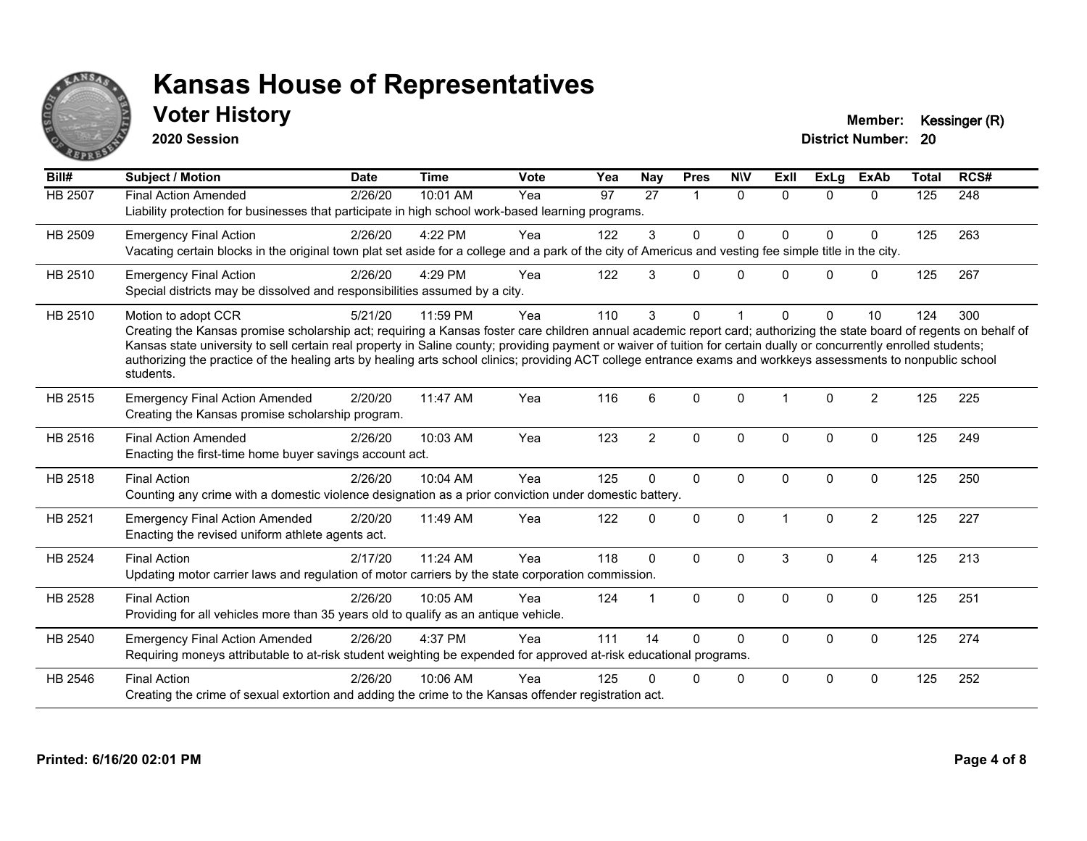

**2020 Session**

**Voter History Member: Kessinger (R)** 

| Bill#          | Subject / Motion                                                                                                                                                                                                                                                                                                                                                                                                                                                                                                                                    | <b>Date</b> | <b>Time</b> | <b>Vote</b> | Yea | Nay            | <b>Pres</b> | <b>NIV</b>  | ExII         | <b>ExLg</b> | <b>ExAb</b>    | <b>Total</b> | RCS# |
|----------------|-----------------------------------------------------------------------------------------------------------------------------------------------------------------------------------------------------------------------------------------------------------------------------------------------------------------------------------------------------------------------------------------------------------------------------------------------------------------------------------------------------------------------------------------------------|-------------|-------------|-------------|-----|----------------|-------------|-------------|--------------|-------------|----------------|--------------|------|
| <b>HB 2507</b> | <b>Final Action Amended</b><br>Liability protection for businesses that participate in high school work-based learning programs.                                                                                                                                                                                                                                                                                                                                                                                                                    | 2/26/20     | 10:01 AM    | Yea         | 97  | 27             | 1           | $\Omega$    | $\Omega$     | $\Omega$    | $\Omega$       | 125          | 248  |
| HB 2509        | <b>Emergency Final Action</b><br>Vacating certain blocks in the original town plat set aside for a college and a park of the city of Americus and vesting fee simple title in the city.                                                                                                                                                                                                                                                                                                                                                             | 2/26/20     | 4:22 PM     | Yea         | 122 | 3              | $\Omega$    | $\Omega$    | $\Omega$     | $\Omega$    | 0              | 125          | 263  |
| HB 2510        | <b>Emergency Final Action</b><br>Special districts may be dissolved and responsibilities assumed by a city.                                                                                                                                                                                                                                                                                                                                                                                                                                         | 2/26/20     | 4:29 PM     | Yea         | 122 | 3              | $\Omega$    | $\Omega$    | 0            | $\Omega$    | 0              | 125          | 267  |
| HB 2510        | Motion to adopt CCR<br>Creating the Kansas promise scholarship act; requiring a Kansas foster care children annual academic report card; authorizing the state board of regents on behalf of<br>Kansas state university to sell certain real property in Saline county; providing payment or waiver of tuition for certain dually or concurrently enrolled students;<br>authorizing the practice of the healing arts by healing arts school clinics; providing ACT college entrance exams and workkeys assessments to nonpublic school<br>students. | 5/21/20     | 11:59 PM    | Yea         | 110 | 3              | $\Omega$    |             | 0            | $\Omega$    | 10             | 124          | 300  |
| HB 2515        | <b>Emergency Final Action Amended</b><br>Creating the Kansas promise scholarship program.                                                                                                                                                                                                                                                                                                                                                                                                                                                           | 2/20/20     | 11:47 AM    | Yea         | 116 | 6              | $\Omega$    | $\Omega$    | 1            | $\Omega$    | $\overline{c}$ | 125          | 225  |
| HB 2516        | <b>Final Action Amended</b><br>Enacting the first-time home buyer savings account act.                                                                                                                                                                                                                                                                                                                                                                                                                                                              | 2/26/20     | 10:03 AM    | Yea         | 123 | $\overline{2}$ | $\Omega$    | $\Omega$    | $\Omega$     | $\Omega$    | $\mathbf 0$    | 125          | 249  |
| <b>HB 2518</b> | <b>Final Action</b><br>Counting any crime with a domestic violence designation as a prior conviction under domestic battery.                                                                                                                                                                                                                                                                                                                                                                                                                        | 2/26/20     | 10:04 AM    | Yea         | 125 | $\Omega$       | $\Omega$    | $\Omega$    | $\Omega$     | $\Omega$    | $\mathbf 0$    | 125          | 250  |
| HB 2521        | <b>Emergency Final Action Amended</b><br>Enacting the revised uniform athlete agents act.                                                                                                                                                                                                                                                                                                                                                                                                                                                           | 2/20/20     | 11:49 AM    | Yea         | 122 | $\mathbf{0}$   | 0           | $\Omega$    |              | $\Omega$    | $\overline{c}$ | 125          | 227  |
| <b>HB 2524</b> | <b>Final Action</b><br>Updating motor carrier laws and regulation of motor carriers by the state corporation commission.                                                                                                                                                                                                                                                                                                                                                                                                                            | 2/17/20     | 11:24 AM    | Yea         | 118 | $\mathbf{0}$   | $\Omega$    | $\Omega$    | 3            | $\Omega$    | 4              | 125          | 213  |
| HB 2528        | <b>Final Action</b><br>Providing for all vehicles more than 35 years old to qualify as an antique vehicle.                                                                                                                                                                                                                                                                                                                                                                                                                                          | 2/26/20     | 10:05 AM    | Yea         | 124 |                | $\Omega$    | $\Omega$    | $\Omega$     | $\Omega$    | $\Omega$       | 125          | 251  |
| HB 2540        | <b>Emergency Final Action Amended</b><br>Requiring moneys attributable to at-risk student weighting be expended for approved at-risk educational programs.                                                                                                                                                                                                                                                                                                                                                                                          | 2/26/20     | 4:37 PM     | Yea         | 111 | 14             | $\Omega$    | $\Omega$    | $\mathbf{0}$ | 0           | $\mathbf 0$    | 125          | 274  |
| HB 2546        | <b>Final Action</b><br>Creating the crime of sexual extortion and adding the crime to the Kansas offender registration act.                                                                                                                                                                                                                                                                                                                                                                                                                         | 2/26/20     | 10:06 AM    | Yea         | 125 | 0              | $\Omega$    | $\mathbf 0$ | 0            | 0           | 0              | 125          | 252  |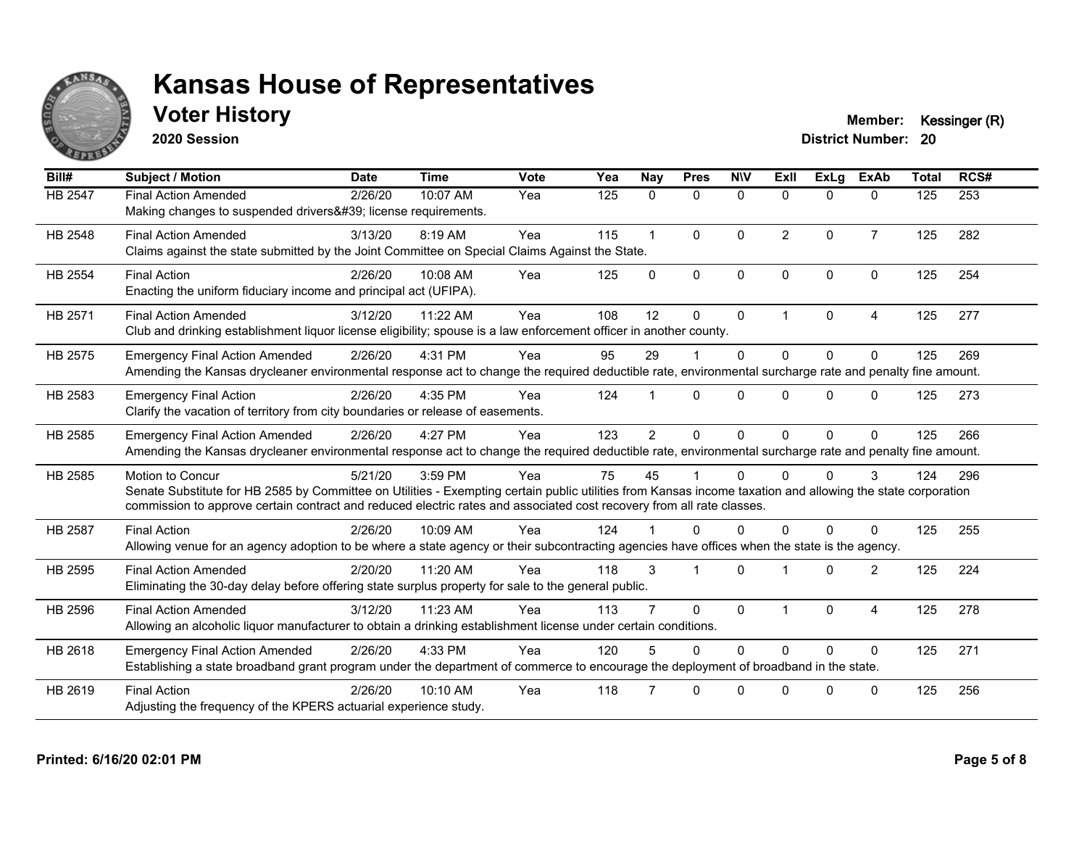

**2020 Session**

**Voter History Member: Kessinger (R)** 

| Bill#          | <b>Subject / Motion</b>                                                                                                                                                                                                                                                                                         | <b>Date</b> | <b>Time</b> | <b>Vote</b> | Yea | <b>Nay</b>     | <b>Pres</b>  | <b>NIV</b>   | ExII                 | <b>ExLg</b> | <b>ExAb</b>    | <b>Total</b> | RCS# |
|----------------|-----------------------------------------------------------------------------------------------------------------------------------------------------------------------------------------------------------------------------------------------------------------------------------------------------------------|-------------|-------------|-------------|-----|----------------|--------------|--------------|----------------------|-------------|----------------|--------------|------|
| HB 2547        | <b>Final Action Amended</b><br>Making changes to suspended drivers' license requirements.                                                                                                                                                                                                                       | 2/26/20     | 10:07 AM    | Yea         | 125 | $\mathbf{0}$   | $\mathbf 0$  | $\mathbf 0$  | $\Omega$             | $\Omega$    | $\mathbf{0}$   | 125          | 253  |
| HB 2548        | <b>Final Action Amended</b><br>Claims against the state submitted by the Joint Committee on Special Claims Against the State.                                                                                                                                                                                   | 3/13/20     | 8:19 AM     | Yea         | 115 | $\mathbf{1}$   | $\mathbf{0}$ | $\Omega$     | $\overline{2}$       | $\Omega$    | $\overline{7}$ | 125          | 282  |
| <b>HB 2554</b> | <b>Final Action</b><br>Enacting the uniform fiduciary income and principal act (UFIPA).                                                                                                                                                                                                                         | 2/26/20     | 10:08 AM    | Yea         | 125 | $\Omega$       | $\mathbf{0}$ | $\mathbf{0}$ | $\Omega$             | $\Omega$    | $\Omega$       | 125          | 254  |
| HB 2571        | <b>Final Action Amended</b><br>Club and drinking establishment liquor license eligibility; spouse is a law enforcement officer in another county.                                                                                                                                                               | 3/12/20     | 11:22 AM    | Yea         | 108 | 12             | $\mathbf{0}$ | $\mathbf{0}$ | $\blacktriangleleft$ | $\Omega$    | 4              | 125          | 277  |
| HB 2575        | <b>Emergency Final Action Amended</b><br>Amending the Kansas drycleaner environmental response act to change the required deductible rate, environmental surcharge rate and penalty fine amount.                                                                                                                | 2/26/20     | 4:31 PM     | Yea         | 95  | 29             |              | $\mathbf{0}$ | $\Omega$             | $\Omega$    | $\mathbf{0}$   | 125          | 269  |
| HB 2583        | <b>Emergency Final Action</b><br>Clarify the vacation of territory from city boundaries or release of easements.                                                                                                                                                                                                | 2/26/20     | 4:35 PM     | Yea         | 124 |                | $\Omega$     | $\Omega$     | $\Omega$             | $\Omega$    | $\Omega$       | 125          | 273  |
| HB 2585        | <b>Emergency Final Action Amended</b><br>Amending the Kansas drycleaner environmental response act to change the required deductible rate, environmental surcharge rate and penalty fine amount.                                                                                                                | 2/26/20     | 4:27 PM     | Yea         | 123 | $\overline{2}$ | $\Omega$     | $\Omega$     | $\Omega$             | $\Omega$    | $\Omega$       | 125          | 266  |
| HB 2585        | <b>Motion to Concur</b><br>Senate Substitute for HB 2585 by Committee on Utilities - Exempting certain public utilities from Kansas income taxation and allowing the state corporation<br>commission to approve certain contract and reduced electric rates and associated cost recovery from all rate classes. | 5/21/20     | 3:59 PM     | Yea         | 75  | 45             |              | $\Omega$     |                      | $\Omega$    | 3              | 124          | 296  |
| <b>HB 2587</b> | <b>Final Action</b><br>Allowing venue for an agency adoption to be where a state agency or their subcontracting agencies have offices when the state is the agency.                                                                                                                                             | 2/26/20     | 10:09 AM    | Yea         | 124 |                | $\Omega$     | $\Omega$     | <sup>n</sup>         | $\Omega$    | $\Omega$       | 125          | 255  |
| HB 2595        | <b>Final Action Amended</b><br>Eliminating the 30-day delay before offering state surplus property for sale to the general public.                                                                                                                                                                              | 2/20/20     | 11:20 AM    | Yea         | 118 | 3              | -1           | $\Omega$     |                      | $\Omega$    | $\overline{2}$ | 125          | 224  |
| HB 2596        | <b>Final Action Amended</b><br>Allowing an alcoholic liquor manufacturer to obtain a drinking establishment license under certain conditions.                                                                                                                                                                   | 3/12/20     | 11:23 AM    | Yea         | 113 |                | $\mathbf{0}$ | $\Omega$     | 1                    | $\Omega$    | $\overline{4}$ | 125          | 278  |
| HB 2618        | <b>Emergency Final Action Amended</b><br>Establishing a state broadband grant program under the department of commerce to encourage the deployment of broadband in the state.                                                                                                                                   | 2/26/20     | 4:33 PM     | Yea         | 120 | 5              | $\Omega$     | $\Omega$     | $\Omega$             | $\Omega$    | $\Omega$       | 125          | 271  |
| HB 2619        | <b>Final Action</b><br>Adjusting the frequency of the KPERS actuarial experience study.                                                                                                                                                                                                                         | 2/26/20     | 10:10 AM    | Yea         | 118 |                | $\Omega$     | 0            | U                    | $\Omega$    | $\Omega$       | 125          | 256  |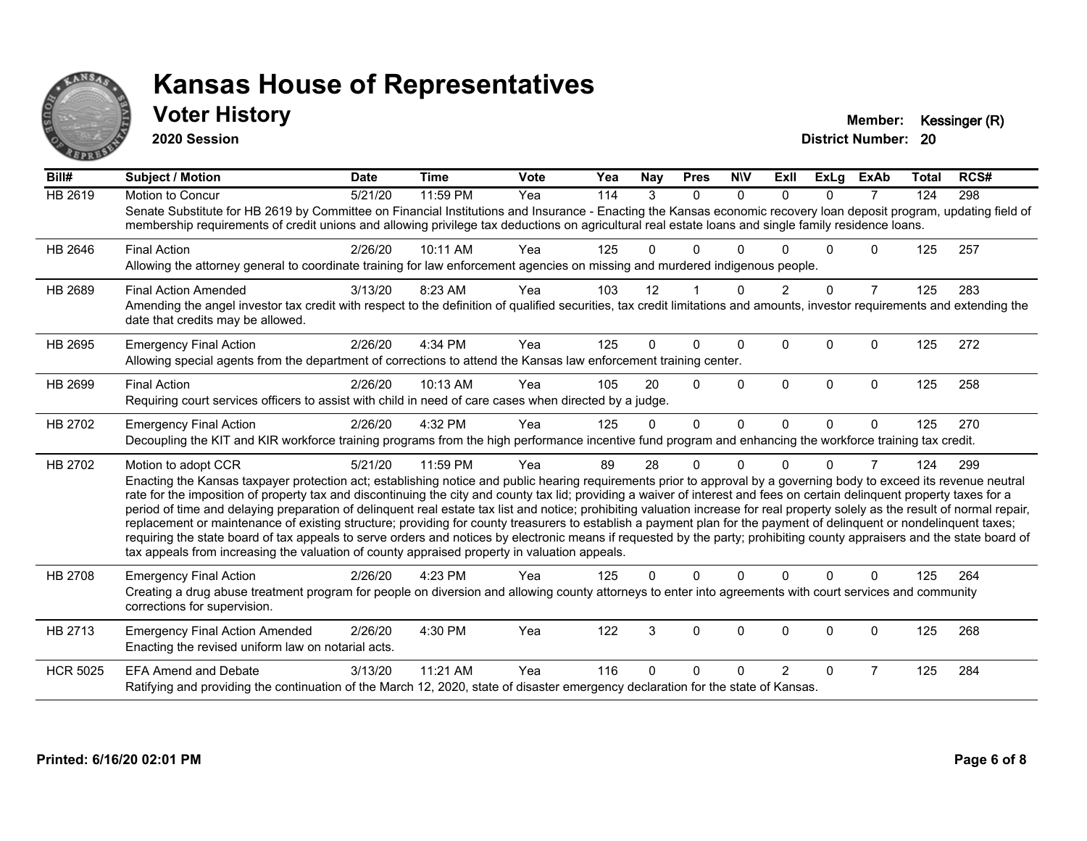

**2020 Session**

**Voter History Member: Kessinger (R)** 

| Bill#           | Subject / Motion                                                                                                                                                                                                                                                                                                                                                                                                                                                                                                                                                                                                                                                                                                                                                                                                                                                                                                                                                                                              | <b>Date</b> | <b>Time</b> | <b>Vote</b> | Yea | <b>Nay</b> | <b>Pres</b> | <b>NIV</b>   | ExII           | <b>ExLg</b> | <b>ExAb</b>    | <b>Total</b> | RCS# |
|-----------------|---------------------------------------------------------------------------------------------------------------------------------------------------------------------------------------------------------------------------------------------------------------------------------------------------------------------------------------------------------------------------------------------------------------------------------------------------------------------------------------------------------------------------------------------------------------------------------------------------------------------------------------------------------------------------------------------------------------------------------------------------------------------------------------------------------------------------------------------------------------------------------------------------------------------------------------------------------------------------------------------------------------|-------------|-------------|-------------|-----|------------|-------------|--------------|----------------|-------------|----------------|--------------|------|
| <b>HB 2619</b>  | Motion to Concur<br>Senate Substitute for HB 2619 by Committee on Financial Institutions and Insurance - Enacting the Kansas economic recovery loan deposit program, updating field of<br>membership requirements of credit unions and allowing privilege tax deductions on agricultural real estate loans and single family residence loans.                                                                                                                                                                                                                                                                                                                                                                                                                                                                                                                                                                                                                                                                 | 5/21/20     | 11:59 PM    | Yea         | 114 | 3          | $\Omega$    | $\Omega$     | $\Omega$       | $\Omega$    | $\overline{7}$ | 124          | 298  |
| HB 2646         | <b>Final Action</b><br>Allowing the attorney general to coordinate training for law enforcement agencies on missing and murdered indigenous people.                                                                                                                                                                                                                                                                                                                                                                                                                                                                                                                                                                                                                                                                                                                                                                                                                                                           | 2/26/20     | 10:11 AM    | Yea         | 125 | 0          | $\Omega$    | ∩            |                | U           | 0              | 125          | 257  |
| HB 2689         | <b>Final Action Amended</b><br>Amending the angel investor tax credit with respect to the definition of qualified securities, tax credit limitations and amounts, investor requirements and extending the<br>date that credits may be allowed.                                                                                                                                                                                                                                                                                                                                                                                                                                                                                                                                                                                                                                                                                                                                                                | 3/13/20     | 8:23 AM     | Yea         | 103 | 12         |             | $\Omega$     | $\overline{2}$ | $\Omega$    | $\overline{7}$ | 125          | 283  |
| HB 2695         | <b>Emergency Final Action</b><br>Allowing special agents from the department of corrections to attend the Kansas law enforcement training center.                                                                                                                                                                                                                                                                                                                                                                                                                                                                                                                                                                                                                                                                                                                                                                                                                                                             | 2/26/20     | 4:34 PM     | Yea         | 125 | 0          | 0           | $\mathbf{0}$ | $\Omega$       | $\Omega$    | $\Omega$       | 125          | 272  |
| HB 2699         | <b>Final Action</b><br>Requiring court services officers to assist with child in need of care cases when directed by a judge.                                                                                                                                                                                                                                                                                                                                                                                                                                                                                                                                                                                                                                                                                                                                                                                                                                                                                 | 2/26/20     | 10:13 AM    | Yea         | 105 | 20         | $\Omega$    | $\Omega$     | $\Omega$       | $\Omega$    | $\Omega$       | 125          | 258  |
| HB 2702         | <b>Emergency Final Action</b><br>Decoupling the KIT and KIR workforce training programs from the high performance incentive fund program and enhancing the workforce training tax credit.                                                                                                                                                                                                                                                                                                                                                                                                                                                                                                                                                                                                                                                                                                                                                                                                                     | 2/26/20     | 4:32 PM     | Yea         | 125 | $\Omega$   | $\Omega$    | $\Omega$     | $\Omega$       | $\Omega$    | $\mathbf{0}$   | 125          | 270  |
| HB 2702         | Motion to adopt CCR<br>Enacting the Kansas taxpayer protection act; establishing notice and public hearing requirements prior to approval by a governing body to exceed its revenue neutral<br>rate for the imposition of property tax and discontinuing the city and county tax lid; providing a waiver of interest and fees on certain delinquent property taxes for a<br>period of time and delaying preparation of delinquent real estate tax list and notice; prohibiting valuation increase for real property solely as the result of normal repair,<br>replacement or maintenance of existing structure; providing for county treasurers to establish a payment plan for the payment of delinquent or nondelinquent taxes;<br>requiring the state board of tax appeals to serve orders and notices by electronic means if requested by the party; prohibiting county appraisers and the state board of<br>tax appeals from increasing the valuation of county appraised property in valuation appeals. | 5/21/20     | 11:59 PM    | Yea         | 89  | 28         | 0           | $\Omega$     | U              | $\Omega$    | $\overline{7}$ | 124          | 299  |
| HB 2708         | <b>Emergency Final Action</b><br>Creating a drug abuse treatment program for people on diversion and allowing county attorneys to enter into agreements with court services and community<br>corrections for supervision.                                                                                                                                                                                                                                                                                                                                                                                                                                                                                                                                                                                                                                                                                                                                                                                     | 2/26/20     | 4:23 PM     | Yea         | 125 | 0          | $\Omega$    | $\Omega$     | $\Omega$       | $\Omega$    | $\Omega$       | 125          | 264  |
| HB 2713         | <b>Emergency Final Action Amended</b><br>Enacting the revised uniform law on notarial acts.                                                                                                                                                                                                                                                                                                                                                                                                                                                                                                                                                                                                                                                                                                                                                                                                                                                                                                                   | 2/26/20     | 4:30 PM     | Yea         | 122 | 3          | 0           | 0            | 0              | 0           | 0              | 125          | 268  |
| <b>HCR 5025</b> | <b>EFA Amend and Debate</b><br>Ratifying and providing the continuation of the March 12, 2020, state of disaster emergency declaration for the state of Kansas.                                                                                                                                                                                                                                                                                                                                                                                                                                                                                                                                                                                                                                                                                                                                                                                                                                               | 3/13/20     | 11:21 AM    | Yea         | 116 | 0          | 0           | $\Omega$     | $\mathcal{P}$  | $\Omega$    | 7              | 125          | 284  |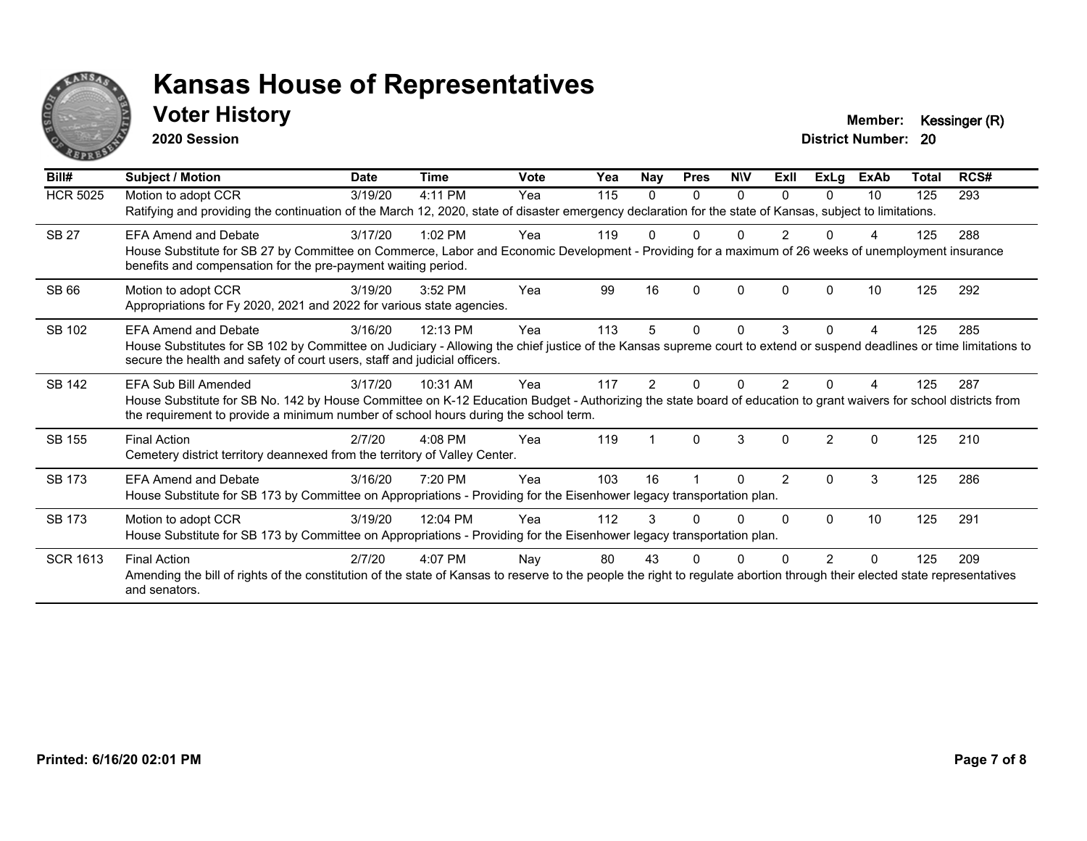

### **Voter History Member: Kessinger (R)**

**2020 Session**

| Bill#           | Subject / Motion                                                                                                                                                                                                                                                                  | <b>Date</b> | <b>Time</b> | <b>Vote</b> | Yea | <b>Nay</b> | <b>Pres</b>  | <b>NIV</b> | ExII          | <b>ExLg</b>   | <b>ExAb</b>  | <b>Total</b> | RCS# |
|-----------------|-----------------------------------------------------------------------------------------------------------------------------------------------------------------------------------------------------------------------------------------------------------------------------------|-------------|-------------|-------------|-----|------------|--------------|------------|---------------|---------------|--------------|--------------|------|
| <b>HCR 5025</b> | Motion to adopt CCR<br>Ratifying and providing the continuation of the March 12, 2020, state of disaster emergency declaration for the state of Kansas, subject to limitations.                                                                                                   | 3/19/20     | 4:11 PM     | Yea         | 115 | 0          | $\Omega$     | 0          | <sup>n</sup>  | 0             | 10           | 125          | 293  |
| <b>SB 27</b>    | <b>EFA Amend and Debate</b><br>House Substitute for SB 27 by Committee on Commerce, Labor and Economic Development - Providing for a maximum of 26 weeks of unemployment insurance<br>benefits and compensation for the pre-payment waiting period.                               | 3/17/20     | 1:02 PM     | Yea         | 119 |            |              |            |               |               |              | 125          | 288  |
| <b>SB 66</b>    | Motion to adopt CCR<br>Appropriations for Fy 2020, 2021 and 2022 for various state agencies.                                                                                                                                                                                      | 3/19/20     | 3:52 PM     | Yea         | 99  | 16         | $\Omega$     | $\Omega$   |               | $\Omega$      | 10           | 125          | 292  |
| SB 102          | <b>EFA Amend and Debate</b><br>House Substitutes for SB 102 by Committee on Judiciary - Allowing the chief justice of the Kansas supreme court to extend or suspend deadlines or time limitations to<br>secure the health and safety of court users, staff and judicial officers. | 3/16/20     | 12:13 PM    | Yea         | 113 | 5          | $\mathbf{0}$ | $\Omega$   | 3             | $\Omega$      |              | 125          | 285  |
| <b>SB 142</b>   | EFA Sub Bill Amended<br>House Substitute for SB No. 142 by House Committee on K-12 Education Budget - Authorizing the state board of education to grant waivers for school districts from<br>the requirement to provide a minimum number of school hours during the school term.  | 3/17/20     | 10:31 AM    | Yea         | 117 | 2          |              |            |               |               |              | 125          | 287  |
| SB 155          | <b>Final Action</b><br>Cemetery district territory deannexed from the territory of Valley Center.                                                                                                                                                                                 | 2/7/20      | 4:08 PM     | Yea         | 119 |            | $\Omega$     | 3          | $\Omega$      | $\mathcal{P}$ | $\mathbf{0}$ | 125          | 210  |
| SB 173          | <b>EFA Amend and Debate</b><br>House Substitute for SB 173 by Committee on Appropriations - Providing for the Eisenhower legacy transportation plan.                                                                                                                              | 3/16/20     | 7:20 PM     | Yea         | 103 | 16         |              | U          | $\mathcal{P}$ | $\Omega$      | 3            | 125          | 286  |
| SB 173          | Motion to adopt CCR<br>House Substitute for SB 173 by Committee on Appropriations - Providing for the Eisenhower legacy transportation plan.                                                                                                                                      | 3/19/20     | 12:04 PM    | Yea         | 112 | 3          | <sup>0</sup> | 0          | n             | $\Omega$      | 10           | 125          | 291  |
| <b>SCR 1613</b> | <b>Final Action</b><br>Amending the bill of rights of the constitution of the state of Kansas to reserve to the people the right to regulate abortion through their elected state representatives<br>and senators.                                                                | 2/7/20      | 4:07 PM     | Nay         | 80  | 43         |              |            |               |               | ŋ            | 125          | 209  |